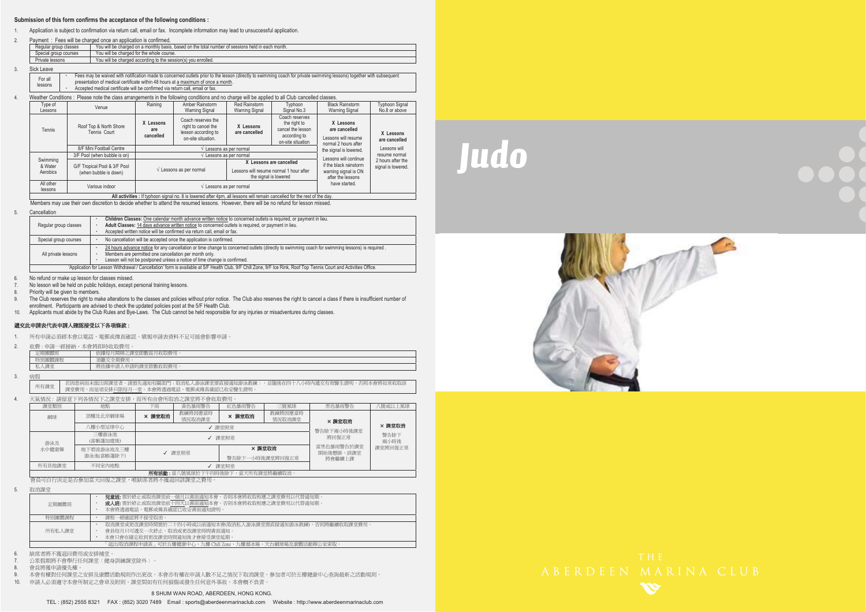### **Submission of this form confirms the acceptance of the following conditions :**

1. Application is subject to confirmation via return call, email or fax. Incomplete information may lead to unsuccessful application.

| Payment: Fees will be charged once an application is confirmed.                  |                                                                                                   |  |  |  |  |  |
|----------------------------------------------------------------------------------|---------------------------------------------------------------------------------------------------|--|--|--|--|--|
| Regular group classes                                                            | You will be charged on a monthly basis, based on the total number of sessions held in each month. |  |  |  |  |  |
| Special group courses                                                            | You will be charged for the whole course.                                                         |  |  |  |  |  |
| Private lessons<br>You will be charged according to the session(s) you enrolled. |                                                                                                   |  |  |  |  |  |
|                                                                                  |                                                                                                   |  |  |  |  |  |

3.Sick Leave

2.

| For all | Fees may be waived with notification made to concerned outlets prior to the lesson (directly to swimming coach for private swimming lessons) together with subsequent |
|---------|-----------------------------------------------------------------------------------------------------------------------------------------------------------------------|
| lessons | presentation of medical certificate within 48 hours at a maximum of once a month.                                                                                     |
|         | Accepted medical certificate will be confirmed via return call, email or fax.                                                                                         |

#### 4. Weather Conditions : Please note the class arrangements in the following conditions and no charge will be applied to all Club cancelled classes.

| Type of<br>Lessons   | Venue                                  | Raining                                    | Amber Rainstorm<br>Warning Signal                                                      | Red Rainstorm<br>Warning Signal | Typhoon<br>Signal No.3                                                                   | <b>Black Rainstorm</b><br><b>Warning Signal</b>                           | <b>Typhoon Signal</b><br>No.8 or above  |
|----------------------|----------------------------------------|--------------------------------------------|----------------------------------------------------------------------------------------|---------------------------------|------------------------------------------------------------------------------------------|---------------------------------------------------------------------------|-----------------------------------------|
| Tennis               | Roof Top & North Shore<br>Tennis Court | X Lessons<br>are<br>cancelled              | Coach reserves the<br>right to cancel the<br>lesson according to<br>on-site situation. | X Lessons<br>are cancelled      | Coach reserves<br>the right to<br>cancel the lesson<br>according to<br>on-site situation | X Lessons<br>are cancelled<br>Lessons will resume<br>normal 2 hours after | X Lessons<br>are cancelled              |
|                      | 8/F Mini Football Centre               |                                            |                                                                                        | Lessons as per normal           |                                                                                          | the signal is lowered.                                                    | Lessons will                            |
|                      | 3/F Pool (when bubble is on)           | Lessons as per normal                      |                                                                                        |                                 |                                                                                          | Lessons will continue                                                     | resume normal                           |
| Swimming<br>& Water  | G/F Tropical Pool & 3/F Pool           |                                            |                                                                                        | X Lessons are cancelled         |                                                                                          | if the black rainstorm                                                    | 2 hours after the<br>signal is lowered. |
| Aerobics             | (when bubble is down)                  |                                            | $\sqrt{\phantom{a}}$ Lessons as per normal                                             |                                 | Lessons will resume normal 1 hour after<br>the signal is lowered                         |                                                                           |                                         |
| All other<br>lessons | Various indoor                         | $\sqrt{\phantom{a}}$ Lessons as per normal |                                                                                        |                                 |                                                                                          | have started.                                                             |                                         |

All activities : If typhoon signal no. 8 is lowered after 4pm, all lessons will remain cancelled for the rest of the day.

Members may use their own discretion to decide whether to attend the resumed lessons. However, there will be no refund for lesson missed.

#### 5. Cancellation

|                                                                                              |                                                                                                                                                                     | Children Classes: One calendar month advance written notice to concerned outlets is required, or payment in lieu.                               |  |  |  |
|----------------------------------------------------------------------------------------------|---------------------------------------------------------------------------------------------------------------------------------------------------------------------|-------------------------------------------------------------------------------------------------------------------------------------------------|--|--|--|
|                                                                                              | Regular group classes                                                                                                                                               | Adult Classes: 14 days advance written notice to concerned outlets is required, or payment in lieu.                                             |  |  |  |
|                                                                                              |                                                                                                                                                                     | Accepted written notice will be confirmed via return call, email or fax.                                                                        |  |  |  |
| No cancellation will be accepted once the application is confirmed.<br>Special group courses |                                                                                                                                                                     |                                                                                                                                                 |  |  |  |
|                                                                                              | All private lessons                                                                                                                                                 | 24 hours advance notice for any cancellation or time change to concerned outlets (directly to swimming coach for swimming lessons) is required. |  |  |  |
|                                                                                              |                                                                                                                                                                     | Members are permitted one cancellation per month only.                                                                                          |  |  |  |
|                                                                                              |                                                                                                                                                                     | Lesson will not be postponed unless a notice of time change is confirmed.                                                                       |  |  |  |
|                                                                                              | 'Application for Lesson Withdrawal / Cancellation' form is available at 5/F Health Club, 9/F Chill Zone, 9/F Ice Rink, Roof Top Tennis Court and Activities Office. |                                                                                                                                                 |  |  |  |

6. No refund or make up lesson for classes missed.

7.No lesson will be held on public holidays, except personal training lessons.

8. Priority will be given to members.

9. The Club reserves the right to make alterations to the classes and policies without prior notice. The Club also reserves the right to cancel a class if there is insufficient number of<br>enrollment. Participants are advise

10. Applicants must abide by the Club Rules and Bye-Laws. The Club cannot be held responsible for any injuries or misadventures during classes.

## 退交此申請表代表申請人確認接受以下各項條款:

1. 所有申請必須經本會以電話、電郵或傳真確認。填報申請表資料不足可能會影響申請。

2. 收費 : 申請一經接納,本會將即時收取費用。

| r 111 II<br>. L.             | 后日開始<br>35.257.<br>TC.<br>ומים בי                             |  |  |  |  |
|------------------------------|---------------------------------------------------------------|--|--|--|--|
| シティ・ディー<br>9291111<br>特別團體課格 | 全曲書<br>zi oo.<br><b>Service</b><br>$\sim$ $\sim$ $-$<br>-1.49 |  |  |  |  |
| 15田·<br>$-123.7$             | 将依據申請<br>、甲語的<br>$-1911327$<br>41 A. N                        |  |  |  |  |

3.病假

所有課堂 若因患病而未能出席課堂者,請預先通知有關部門〔取消私人游泳課堂需直接通知游泳教練〕,並隨後在四十八小時內遞交有效醫生證明,否則本會將如常收取該<br>所有課堂 課堂費用,而是項安排只限每月一堂。本會將透過電話、電郵或傳真確認己收妥醫生證明。

4.天氣情況:請留意下列各情況下之課堂安排,而所有由會所取消之課堂將不會收取費用。

| 課堂類別                                                                                           | 地點                       | 下雨     | 黃色暴雨警告            | 紅色暴雨警告          | 三號風球              | 黑色暴雨警告                  | ト風且以旋號! |
|------------------------------------------------------------------------------------------------|--------------------------|--------|-------------------|-----------------|-------------------|-------------------------|---------|
| 網球                                                                                             | 頂樓及北岸網球場                 | × 課堂取消 | 教練將因應當時<br>情況取消課堂 | × 課堂取消          | 教練將因應當時<br>情況取消課堂 | × 課堂取消                  |         |
| 八樓小型足球中心<br>√ 課堂照常                                                                             |                          |        |                   |                 | 警告除下兩小時後課堂        | × 課堂取消                  |         |
| 游泳及                                                                                            | 三樓游泳池<br>(當帳蓬加建後)        | √ 課堂照常 |                   |                 | 將回復正常             | 警告除下<br>兩小時後            |         |
| 水中健康舞                                                                                          | 地下碧波游泳池及三樓<br>游泳池(當帳蓬除下) |        | √ 課堂照常            | × 課堂取消          |                   | 常黑色暴雨警告於課堂<br>開始後懸掛,該課堂 | 課堂將回復正常 |
|                                                                                                |                          |        |                   | 警告除下一小時後課堂將回復正常 |                   | 將會繼續上課                  |         |
| 所有其他課堂                                                                                         | 不同室内地點                   | √ 課堂照常 |                   |                 |                   |                         |         |
| <b>自治者的手册。</b> Alle in Bulket Presence for minds 69. KA TO  Alle TO GO der STRAIG (BE WENNING) |                          |        |                   |                 |                   |                         |         |

ڶࢬ೯ʳˍʳᅝԶᇆଅ࣍Հ֑ழ৵ೈՀΔᅝ֚ڶࢬᓰഘലᤉᥛ࠷ΖΖʳشᇠᓰഘհ၄ڃലլᛧಯஂृഄ༚հᓰഘΔڃ֚ᅝףܡਢࡳެ۩۞ױᄎ

5. 取消課堂

| 48 但必要 |                                                                                                                                      |  |  |  |  |  |
|--------|--------------------------------------------------------------------------------------------------------------------------------------|--|--|--|--|--|
| 定期團體班  | <b>兒童斑:</b> 需於終止或取消課堂前一個月以書面通知本會。否則本會將收取相應之課堂費用以代替通知期<br>成人班:需於終止或取消課堂前十四天以書面通知本會。否則本會將收取相應之課堂費用以代替通知期。<br>本會將诱渦電話、電郵或傳直確認已收妥書面涌知證明。 |  |  |  |  |  |
| 特別團體課程 | 課程一經確認將不接受取消。                                                                                                                        |  |  |  |  |  |
| 所有私人課堂 | 取消課堂或更改課堂時間需於二十四小時或以前通知本會(取消私人游泳課堂需直接通知游泳教練),否則將繼續收取課堂費用。<br>會員每月只可遞交一次終止、取消或更改課堂時間書面涌知。<br>本會只會在確定收到更改課堂時間涌知後才會接受課堂延期。              |  |  |  |  |  |
|        | 「退出/取消課程申請表」可於五樓健康中心、九樓 Chill Zone、九樓溜冰場、天台網球場及康體活動辦公室索取 ·                                                                           |  |  |  |  |  |
|        |                                                                                                                                      |  |  |  |  |  |

6. 缺席者將不獲退回費用或安排補堂。

7. 公眾假期將不會舉行任何課堂﹝健身訓練課堂除外﹞。

8.會員將獲申請優先權

9. 本會有權對任何課堂之安排及康體活動規則作出更改。本會亦有權在申請人數不足之情況下取消課堂。參加者可於五樓健康中心查詢最新之活動規則。

10. 申請人必須遵守本會所制定之會章及附則。課堂間如有任何損傷或發生任何意外事故,本會槪不負責。

8 SHUM WAN ROAD, ABERDEEN, HONG KONG.

# Judo